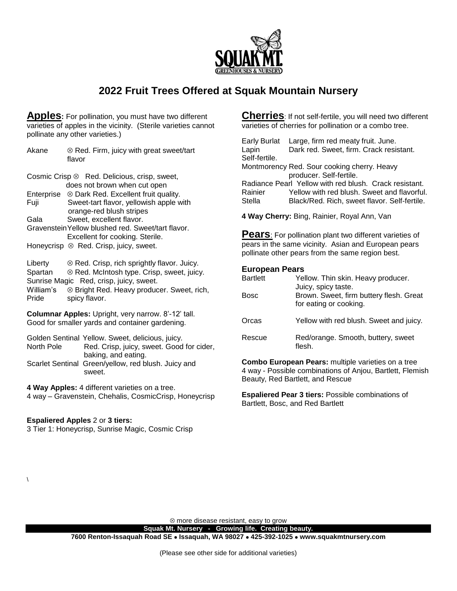

# **2022 Fruit Trees Offered at Squak Mountain Nursery**

**Apples:** For pollination, you must have two different varieties of apples in the vicinity. (Sterile varieties cannot pollinate any other varieties.)

| Akane                                                                                                  | $\otimes$ Red. Firm, juicy with great sweet/tart<br>flavor                                                                                                                                                          |  |
|--------------------------------------------------------------------------------------------------------|---------------------------------------------------------------------------------------------------------------------------------------------------------------------------------------------------------------------|--|
| Cosmic Crisp ⊗ Red. Delicious, crisp, sweet,<br>does not brown when cut open                           |                                                                                                                                                                                                                     |  |
| Fuji                                                                                                   | Enterprise  ⊗ Dark Red. Excellent fruit quality.<br>Sweet-tart flavor, yellowish apple with<br>orange-red blush stripes                                                                                             |  |
| Gala                                                                                                   | Sweet, excellent flavor.<br>Gravenstein Yellow blushed red. Sweet/tart flavor.<br>Excellent for cooking. Sterile.                                                                                                   |  |
|                                                                                                        | Honeycrisp <sup>®</sup> Red. Crisp, juicy, sweet.                                                                                                                                                                   |  |
| Liberty<br>Spartan<br>William's<br>Pride                                                               | $\otimes$ Red. Crisp, rich sprightly flavor. Juicy.<br>$\otimes$ Red. McIntosh type. Crisp, sweet, juicy.<br>Sunrise Magic Red, crisp, juicy, sweet.<br>⊗ Bright Red. Heavy producer. Sweet, rich,<br>spicy flavor. |  |
| Columnar Apples: Upright, very narrow. 8'-12' tall.<br>Good for smaller yards and container gardening. |                                                                                                                                                                                                                     |  |
| Golden Sentinal Yellow. Sweet, delicious, juicy.                                                       |                                                                                                                                                                                                                     |  |

North Pole Red. Crisp, juicy, sweet. Good for cider, baking, and eating. Scarlet Sentinal Green/yellow, red blush. Juicy and

sweet.

**4 Way Apples:** 4 different varieties on a tree. 4 way – Gravenstein, Chehalis, CosmicCrisp, Honeycrisp

### **Espaliered Apples** 2 or **3 tiers:**

 $\lambda$ 

3 Tier 1: Honeycrisp, Sunrise Magic, Cosmic Crisp

**Cherries**: If not self-fertile, you will need two different varieties of cherries for pollination or a combo tree.

Early Burlat Large, firm red meaty fruit. June. Lapin Dark red. Sweet, firm. Crack resistant. Self-fertile.

Montmorency Red. Sour cooking cherry. Heavy producer. Self-fertile.

Radiance Pearl Yellow with red blush. Crack resistant. Rainier Yellow with red blush. Sweet and flavorful. Stella Black/Red. Rich, sweet flavor. Self-fertile.

**4 Way Cherry:** Bing, Rainier, Royal Ann, Van

**Pears**: For pollination plant two different varieties of pears in the same vicinity. Asian and European pears pollinate other pears from the same region best.

#### **European Pears**

| <b>Bartlett</b><br>Bosc | Yellow. Thin skin. Heavy producer.<br>Juicy, spicy taste.<br>Brown. Sweet, firm buttery flesh. Great |
|-------------------------|------------------------------------------------------------------------------------------------------|
| Orcas                   | for eating or cooking.<br>Yellow with red blush. Sweet and juicy.                                    |
| Rescue                  | Red/orange. Smooth, buttery, sweet<br>flesh.                                                         |

**Combo European Pears:** multiple varieties on a tree 4 way - Possible combinations of Anjou, Bartlett, Flemish Beauty, Red Bartlett, and Rescue

**Espaliered Pear 3 tiers:** Possible combinations of Bartlett, Bosc, and Red Bartlett

 $\otimes$  more disease resistant, easy to grow

**Squak Mt. Nursery - Growing life. Creating beauty. 7600 Renton-Issaquah Road SE Issaquah, WA 98027 425-392-1025 www.squakmtnursery.com**